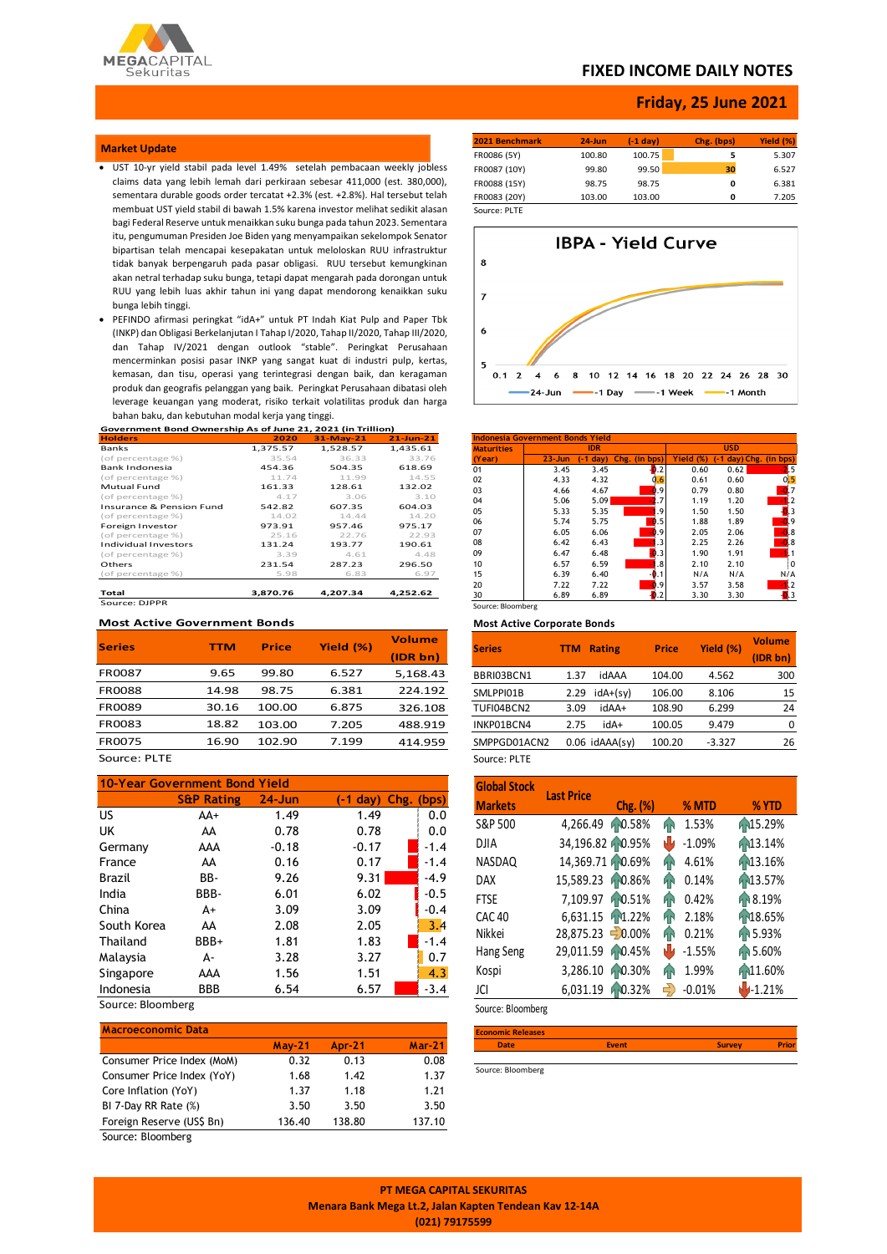

### **FIXED INCOME DAILY NOTES**

## **Friday, 25 June 2021**

#### **Market Update**

- UST 10-yr yield stabil pada level 1.49% setelah pembacaan weekly jobless claims data yang lebih lemah dari perkiraan sebesar 411,000 (est. 380,000), sementara durable goods order tercatat +2.3% (est. +2.8%). Hal tersebut telah membuat UST yield stabil di bawah 1.5% karena investor melihat sedikit alasan bagi Federal Reserve untuk menaikkan suku bunga pada tahun 2023. Sementara itu, pengumuman Presiden Joe Biden yang menyampaikan sekelompok Senator bipartisan telah mencapai kesepakatan untuk meloloskan RUU infrastruktur tidak banyak berpengaruh pada pasar obligasi. RUU tersebut kemungkinan akan netral terhadap suku bunga, tetapi dapat mengarah pada dorongan untuk RUU yang lebih luas akhir tahun ini yang dapat mendorong kenaikkan suku bunga lebih tinggi.
- **Government Bond Ownership As of June 21, 2021 (in Trillion)** PEFINDO afirmasi peringkat "idA+" untuk PT Indah Kiat Pulp and Paper Tbk (INKP) dan Obligasi Berkelanjutan I Tahap I/2020, Tahap II/2020, Tahap III/2020, dan Tahap IV/2021 dengan outlook "stable". Peringkat Perusahaan mencerminkan posisi pasar INKP yang sangat kuat di industri pulp, kertas, kemasan, dan tisu, operasi yang terintegrasi dengan baik, dan keragaman produk dan geografis pelanggan yang baik. Peringkat Perusahaan dibatasi oleh leverage keuangan yang moderat, risiko terkait volatilitas produk dan harga bahan baku, dan kebutuhan modal kerja yang tinggi.

| Government Bond Ownership As of June 21, 2021 (in Trillion) |          |             |              |
|-------------------------------------------------------------|----------|-------------|--------------|
| <b>Holders</b>                                              | 2020     | $31-May-21$ | $21$ -Jun-21 |
| Banks                                                       | 1,375.57 | 1,528.57    | 1,435.61     |
| (of percentage %)                                           | 35.54    | 36.33       | 33.76        |
| Bank Indonesia                                              | 454.36   | 504.35      | 618.69       |
| (of percentage %)                                           | 11.74    | 11.99       | 14.55        |
| <b>Mutual Fund</b>                                          | 161.33   | 128.61      | 132.02       |
| (of percentage %)                                           | 4.17     | 3.06        | 3.10         |
| Insurance & Pension Fund                                    | 542.82   | 607.35      | 604.03       |
| (of percentage %)                                           | 14.02    | 14.44       | 14.20        |
| Foreign Investor                                            | 973.91   | 957.46      | 975.17       |
| (of percentage %)                                           | 25.16    | 22.76       | 22.93        |
| <b>Individual Investors</b>                                 | 131.24   | 193.77      | 190.61       |

(of percentage %) 3.39 4.61 4.48 (of percentage %) a  $\frac{3.39}{231.54}$  287.23 296.50<br>
Others 231.54 287.23 296.50<br>
(of percentage %) 5.98 6.83 6.97 (of percentage %) 5.98 6.83 6.97

**Total 3,870.76 4,207.34 4,252.62** Source: DJPPR

### **Most Active Government Bonds**

| <b>Series</b> | ттм   | <b>Price</b> | Yield (%) | Volume   |
|---------------|-------|--------------|-----------|----------|
|               |       |              |           | (IDR bn) |
| <b>FR0087</b> | 9.65  | 99.80        | 6.527     | 5,168.43 |
| <b>FR0088</b> | 14.98 | 98.75        | 6.381     | 224.192  |
| <b>FR0089</b> | 30.16 | 100.00       | 6.875     | 326.108  |
| FR0083        | 18.82 | 103.00       | 7.205     | 488.919  |
| <b>FR0075</b> | 16.90 | 102.90       | 7.199     | 414.959  |
|               |       |              |           |          |

### Source: PLTE

| <b>10-Year Government Bond Yield</b> |                       |            |                               |        |  |  |  |
|--------------------------------------|-----------------------|------------|-------------------------------|--------|--|--|--|
|                                      | <b>S&amp;P Rating</b> | $24 - Jun$ | $(-1 \text{ day})$ Chg. (bps) |        |  |  |  |
| US.                                  | AA+                   | 1.49       | 1.49                          | 0.0    |  |  |  |
| UK                                   | AA                    | 0.78       | 0.78                          | 0.0    |  |  |  |
| Germany                              | AAA                   | $-0.18$    | $-0.17$                       | $-1.4$ |  |  |  |
| France                               | AA                    | 0.16       | 0.17                          | $-1.4$ |  |  |  |
| Brazil                               | BB-                   | 9.26       | 9.31                          | $-4.9$ |  |  |  |
| India                                | BBB-                  | 6.01       | 6.02                          | $-0.5$ |  |  |  |
| China                                | A+                    | 3.09       | 3.09                          | $-0.4$ |  |  |  |
| South Korea                          | AA                    | 2.08       | 2.05                          | 3.4    |  |  |  |
| Thailand                             | BBB+                  | 1.81       | 1.83                          | $-1.4$ |  |  |  |
| Malaysia                             | А-                    | 3.28       | 3.27                          | 0.7    |  |  |  |
| Singapore                            | AAA                   | 1.56       | 1.51                          | 4.3    |  |  |  |
| Indonesia                            | BBB                   | 6.54       | 6.57                          | $-3.4$ |  |  |  |

Source: Bloomberg

| <b>Macroeconomic Data</b>  |          |               |          |
|----------------------------|----------|---------------|----------|
|                            | $May-21$ | <b>Apr-21</b> | $Mar-21$ |
| Consumer Price Index (MoM) | 0.32     | 0.13          | 0.08     |
| Consumer Price Index (YoY) | 1.68     | 1.42          | 1.37     |
| Core Inflation (YoY)       | 1.37     | 1.18          | 1.21     |
| BI 7-Day RR Rate (%)       | 3.50     | 3.50          | 3.50     |
| Foreign Reserve (US\$ Bn)  | 136.40   | 138.80        | 137.10   |
| Source: Bloomberg          |          |               |          |

**2021 Benchmark 24-Jun (-1 day) Chg. (bps** FR0086 (5Y) 100.80 100.75 **5** 5.307 FR0087 (10Y) 99.80 99.50 **30** 6.527 FR0088 (15Y) 98.75 98.75 **0** 6.381 FR0083 (20Y) 103.00 103.00 **0** 7.205 Source: PLTE

**IBPA - Yield Curve** 8  $\overline{7}$ 6 5  $0.1$  2 4 6 8 10 12 14 16 18 20 22 24 26 28 30 -24-Jun -- 1 Day -1 Week -- 1 Month

| <b>Indonesia Government Bonds Yield</b> |            |            |                |                     |                       |                |  |  |  |
|-----------------------------------------|------------|------------|----------------|---------------------|-----------------------|----------------|--|--|--|
| <b>Maturities</b>                       |            | <b>IDR</b> |                |                     | <b>USD</b>            |                |  |  |  |
| (Year)                                  | $23 - Jun$ | $-1$ day)  | Chg. (in bps)  | <b>Yield</b><br>(%) | -1 day) Chg. (in bps) |                |  |  |  |
| 01                                      | 3.45       | 3.45       | .2             | 0.60                | 0.62                  | $-2.5$         |  |  |  |
| 02                                      | 4.33       | 4.32       | .6             | 0.61                | 0.60                  | 0.5            |  |  |  |
| 03                                      | 4.66       | 4.67       | .9             | 0.79                | 0.80                  |                |  |  |  |
| 04                                      | 5.06       | 5.09       | .7             | 1.19                | 1.20                  |                |  |  |  |
| 05                                      | 5.33       | 5.35       | .9             | 1.50                | 1.50                  | $\blacksquare$ |  |  |  |
| 06                                      | 5.74       | 5.75       | 0.5            | 1.88                | 1.89                  | $-0.9$         |  |  |  |
| 07                                      | 6.05       | 6.06       | .9<br>۰        | 2.05                | 2.06                  | $-0.8$         |  |  |  |
| 08                                      | 6.42       | 6.43       | .3             | 2.25                | 2.26                  | $-0.8$         |  |  |  |
| 09                                      | 6.47       | 6.48       | $\blacksquare$ | 1.90                | 1.91                  | 40             |  |  |  |
| 10                                      | 6.57       | 6.59       | .8             | 2.10                | 2.10                  | l O            |  |  |  |
| 15                                      | 6.39       | 6.40       | $\bullet$ .1   | N/A                 | N/A                   | N/A            |  |  |  |
| 20                                      | 7.22       | 7.22       | 0.9            | 3.57                | 3.58                  |                |  |  |  |
| 30                                      | 6.89       | 6.89       |                | 3.30                | 3.30                  | $-13$          |  |  |  |
| Source: Bloomberg                       |            |            |                |                     |                       |                |  |  |  |

### **Most Active Corporate Bonds**

| <b>Series</b> | <b>TTM</b><br><b>Rating</b> | <b>Price</b> | Yield (%) | <b>Volume</b><br>(IDR bn) |
|---------------|-----------------------------|--------------|-----------|---------------------------|
| BBRI03BCN1    | idAAA<br>1.37               | 104.00       | 4.562     | 300                       |
| SMLPPI01B     | $idA+(sV)$<br>2.29          | 106.00       | 8.106     | 15                        |
| TUFI04BCN2    | idAA+<br>3.09               | 108.90       | 6.299     | 24                        |
| INKP01BCN4    | idA+<br>2.75                | 100.05       | 9.479     | 0                         |
| SMPPGD01ACN2  | $0.06$ idAAA $(sv)$         | 100.20       | $-3.327$  | 26                        |
|               |                             |              |           |                           |

Source: PLTE

| <b>Global Stock</b> | <b>Last Price</b> |          |               |          |          |
|---------------------|-------------------|----------|---------------|----------|----------|
| <b>Markets</b>      |                   | Chg. (%) |               | % MTD    | % YTD    |
| S&P 500             | 4,266.49          | 10.58%   | ЙŃ            | 1.53%    | 15.29%   |
| <b>DJIA</b>         | 34,196.82 0.95%   |          | ۳IJ           | $-1.09%$ | 13.14%   |
| NASDAQ              | 14,369.71 40.69%  |          | ЙŃ            | 4.61%    | 13.16%   |
| DAX                 | 15,589.23 0.86%   |          | ЙŃ            | 0.14%    | 13.57%   |
| <b>FTSE</b>         | 7,109.97 0.51%    |          | ЙŃ            | 0.42%    | 18.19%   |
| <b>CAC 40</b>       | 6,631.15 1.22%    |          | ЙŃ            | 2.18%    | 18.65%   |
| Nikkei              | 28,875.23 - 0.00% |          | ЙŃ            | 0.21%    | 15.93%   |
| Hang Seng           | 29,011.59         | 10.45%   | N۷            | $-1.55%$ | 15.60%   |
| Kospi               | 3,286.10          | 10.30%   | ЙŃ            | 1.99%    | 11.60%   |
| JCI                 | 6.031.19          | 10.32%   | $\Rightarrow$ | $-0.01%$ | $-1.21%$ |

Source: Bloomberg

**Economic Releases Date Event Survey Prior**

Source: Bloomberg

**PT MEGA CAPITAL SEKURITAS Menara Bank Mega Lt.2, Jalan Kapten Tendean Kav 12-14A (021) 79175599**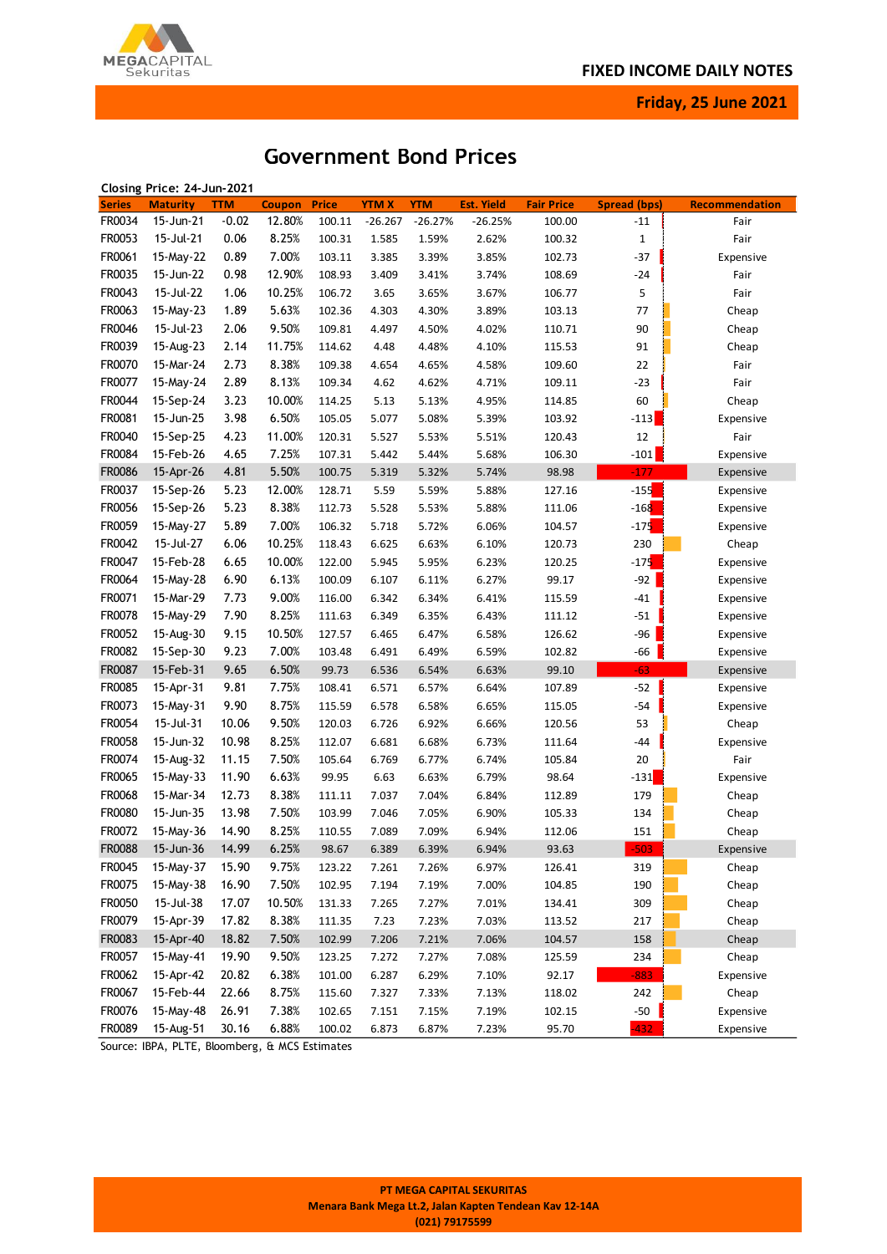

**Friday, 25 June 2021**

# **Government Bond Prices**

|               | Closing Price: 24-Jun-2021 |            |               |              |              |            |                   |                   |                     |                |
|---------------|----------------------------|------------|---------------|--------------|--------------|------------|-------------------|-------------------|---------------------|----------------|
| <b>Series</b> | <b>Maturity</b>            | <b>TTM</b> | <b>Coupon</b> | <b>Price</b> | <b>YTM X</b> | <b>YTM</b> | <b>Est. Yield</b> | <b>Fair Price</b> | <b>Spread (bps)</b> | Recommendation |
| FR0034        | 15-Jun-21                  | $-0.02$    | 12.80%        | 100.11       | $-26.267$    | $-26.27%$  | $-26.25%$         | 100.00            | $-11$               | Fair           |
| FR0053        | 15-Jul-21                  | 0.06       | 8.25%         | 100.31       | 1.585        | 1.59%      | 2.62%             | 100.32            | $\mathbf{1}$        | Fair           |
| FR0061        | 15-May-22                  | 0.89       | 7.00%         | 103.11       | 3.385        | 3.39%      | 3.85%             | 102.73            | $-37$               | Expensive      |
| FR0035        | 15-Jun-22                  | 0.98       | 12.90%        | 108.93       | 3.409        | 3.41%      | 3.74%             | 108.69            | $-24$               | Fair           |
| FR0043        | 15-Jul-22                  | 1.06       | 10.25%        | 106.72       | 3.65         | 3.65%      | 3.67%             | 106.77            | 5                   | Fair           |
| FR0063        | 15-May-23                  | 1.89       | 5.63%         | 102.36       | 4.303        | 4.30%      | 3.89%             | 103.13            | 77                  | Cheap          |
| FR0046        | 15-Jul-23                  | 2.06       | 9.50%         | 109.81       | 4.497        | 4.50%      | 4.02%             | 110.71            | 90                  | Cheap          |
| FR0039        | 15-Aug-23                  | 2.14       | 11.75%        | 114.62       | 4.48         | 4.48%      | 4.10%             | 115.53            | 91                  | Cheap          |
| FR0070        | 15-Mar-24                  | 2.73       | 8.38%         | 109.38       | 4.654        | 4.65%      | 4.58%             | 109.60            | 22                  | Fair           |
| FR0077        | 15-May-24                  | 2.89       | 8.13%         | 109.34       | 4.62         | 4.62%      | 4.71%             | 109.11            | $-23$               | Fair           |
| FR0044        | 15-Sep-24                  | 3.23       | 10.00%        | 114.25       | 5.13         | 5.13%      | 4.95%             | 114.85            | 60                  | Cheap          |
| FR0081        | 15-Jun-25                  | 3.98       | 6.50%         | 105.05       | 5.077        | 5.08%      | 5.39%             | 103.92            | $-113$              | Expensive      |
| FR0040        | 15-Sep-25                  | 4.23       | 11.00%        | 120.31       | 5.527        | 5.53%      | 5.51%             | 120.43            | 12                  | Fair           |
| FR0084        | 15-Feb-26                  | 4.65       | 7.25%         | 107.31       | 5.442        | 5.44%      | 5.68%             | 106.30            | $-101$              | Expensive      |
| <b>FR0086</b> | 15-Apr-26                  | 4.81       | 5.50%         | 100.75       | 5.319        | 5.32%      | 5.74%             | 98.98             | $-177$              | Expensive      |
| FR0037        | 15-Sep-26                  | 5.23       | 12.00%        | 128.71       | 5.59         | 5.59%      | 5.88%             | 127.16            | $-155$              | Expensive      |
| FR0056        | 15-Sep-26                  | 5.23       | 8.38%         | 112.73       | 5.528        | 5.53%      | 5.88%             | 111.06            | $-168$              | Expensive      |
| FR0059        | 15-May-27                  | 5.89       | 7.00%         | 106.32       | 5.718        | 5.72%      | 6.06%             | 104.57            | $-175$              | Expensive      |
| FR0042        | 15-Jul-27                  | 6.06       | 10.25%        | 118.43       | 6.625        | 6.63%      | 6.10%             | 120.73            | 230                 | Cheap          |
| FR0047        | 15-Feb-28                  | 6.65       | 10.00%        | 122.00       | 5.945        | 5.95%      | 6.23%             | 120.25            | $-175$              | Expensive      |
| FR0064        | 15-May-28                  | 6.90       | 6.13%         | 100.09       | 6.107        | 6.11%      | 6.27%             | 99.17             | $-92$               |                |
| FR0071        | 15-Mar-29                  | 7.73       | 9.00%         |              |              |            |                   | 115.59            | $-41$               | Expensive      |
|               |                            |            |               | 116.00       | 6.342        | 6.34%      | 6.41%             |                   |                     | Expensive      |
| FR0078        | 15-May-29                  | 7.90       | 8.25%         | 111.63       | 6.349        | 6.35%      | 6.43%             | 111.12            | $-51$               | Expensive      |
| FR0052        | 15-Aug-30                  | 9.15       | 10.50%        | 127.57       | 6.465        | 6.47%      | 6.58%             | 126.62            | $-96$               | Expensive      |
| FR0082        | 15-Sep-30                  | 9.23       | 7.00%         | 103.48       | 6.491        | 6.49%      | 6.59%             | 102.82            | -66                 | Expensive      |
| FR0087        | 15-Feb-31                  | 9.65       | 6.50%         | 99.73        | 6.536        | 6.54%      | 6.63%             | 99.10             | $-63$               | Expensive      |
| FR0085        | 15-Apr-31                  | 9.81       | 7.75%         | 108.41       | 6.571        | 6.57%      | 6.64%             | 107.89            | $-52$               | Expensive      |
| FR0073        | 15-May-31                  | 9.90       | 8.75%         | 115.59       | 6.578        | 6.58%      | 6.65%             | 115.05            | $-54$               | Expensive      |
| FR0054        | 15-Jul-31                  | 10.06      | 9.50%         | 120.03       | 6.726        | 6.92%      | 6.66%             | 120.56            | 53                  | Cheap          |
| FR0058        | 15-Jun-32                  | 10.98      | 8.25%         | 112.07       | 6.681        | 6.68%      | 6.73%             | 111.64            | -44                 | Expensive      |
| FR0074        | 15-Aug-32                  | 11.15      | 7.50%         | 105.64       | 6.769        | 6.77%      | 6.74%             | 105.84            | 20                  | Fair           |
| FR0065        | 15-May-33                  | 11.90      | 6.63%         | 99.95        | 6.63         | 6.63%      | 6.79%             | 98.64             | $-131$              | Expensive      |
| FR0068        | 15-Mar-34                  | 12.73      | 8.38%         | 111.11       | 7.037        | 7.04%      | 6.84%             | 112.89            | 179                 | Cheap          |
| FR0080        | 15-Jun-35                  | 13.98      | 7.50%         | 103.99       | 7.046        | 7.05%      | 6.90%             | 105.33            | 134                 | Cheap          |
| FR0072        | 15-May-36                  | 14.90      | 8.25%         | 110.55       | 7.089        | 7.09%      | 6.94%             | 112.06            | 151                 | Cheap          |
| <b>FR0088</b> | 15-Jun-36                  | 14.99      | 6.25%         | 98.67        | 6.389        | 6.39%      | 6.94%             | 93.63             | 503                 | Expensive      |
| FR0045        | 15-May-37                  | 15.90      | 9.75%         | 123.22       | 7.261        | 7.26%      | 6.97%             | 126.41            | 319                 | Cheap          |
| FR0075        | 15-May-38                  | 16.90      | 7.50%         | 102.95       | 7.194        | 7.19%      | 7.00%             | 104.85            | 190                 | Cheap          |
| FR0050        | 15-Jul-38                  | 17.07      | 10.50%        | 131.33       | 7.265        | 7.27%      | 7.01%             | 134.41            | 309                 | Cheap          |
| FR0079        | 15-Apr-39                  | 17.82      | 8.38%         | 111.35       | 7.23         | 7.23%      | 7.03%             | 113.52            | 217                 | Cheap          |
| FR0083        | 15-Apr-40                  | 18.82      | 7.50%         | 102.99       | 7.206        | 7.21%      | 7.06%             | 104.57            | 158                 | Cheap          |
| FR0057        | 15-May-41                  | 19.90      | 9.50%         | 123.25       | 7.272        | 7.27%      | 7.08%             | 125.59            | 234                 | Cheap          |
| FR0062        | 15-Apr-42                  | 20.82      | 6.38%         | 101.00       | 6.287        | 6.29%      | 7.10%             | 92.17             | $-883$              | Expensive      |
| FR0067        | 15-Feb-44                  | 22.66      | 8.75%         | 115.60       | 7.327        | 7.33%      | 7.13%             | 118.02            | 242                 | Cheap          |
| FR0076        | 15-May-48                  | 26.91      | 7.38%         | 102.65       | 7.151        | 7.15%      | 7.19%             | 102.15            | $-50$               | Expensive      |
| FR0089        | 15-Aug-51                  | 30.16      | 6.88%         | 100.02       | 6.873        | 6.87%      | 7.23%             | 95.70             | $-432$              | Expensive      |

Source: IBPA, PLTE, Bloomberg, & MCS Estimates